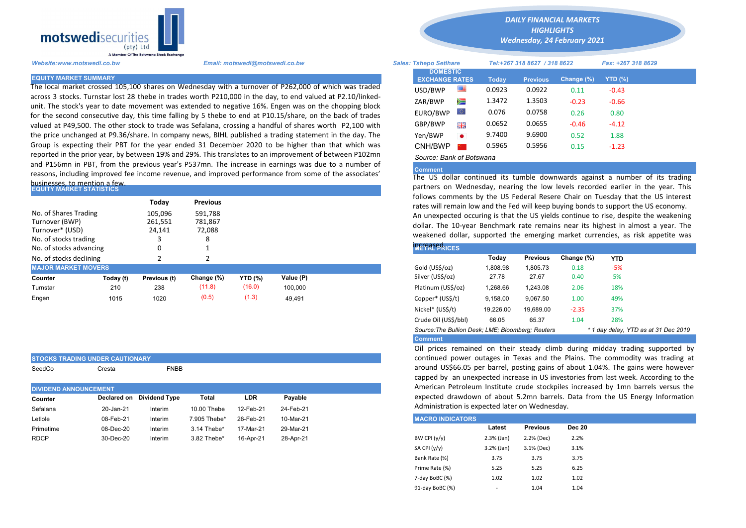

The local market crossed 105,100 shares on Wednesday with a turnover of P262,000 of which was traded across 3 stocks. Turnstar lost 28 thebe in trades worth P210,000 in the day, to end valued at P2.10/linkedunit. The stock's year to date movement was extended to negative 16%. Engen was on the chopping block for the second consecutive day, this time falling by 5 thebe to end at P10.15/share, on the back of trades valued at P49,500. The other stock to trade was Sefalana, crossing a handful of shares worth P2,100 with the price unchanged at P9.36/share. In company news, BIHL published a trading statement in the day. The Group is expecting their PBT for the year ended 31 December 2020 to be higher than that which was reported in the prior year, by between 19% and 29%. This translates to an improvement of between P102mn and P156mn in PBT, from the previous year's P537mn. The increase in earnings was due to a number of reasons, including improved fee income revenue, and improved performance from some of the associates'

## businesses, to mention a few.<br>EQUITY MARKET STATISTICS

STOCKS TRADING UNDER CAUTIONARY

SeedCo Cresta **FNBB** 

| No. of Shares Trading<br>Turnover (BWP)<br>Turnover* (USD) | Todav<br>105.096<br>261,551<br>24,141 | <b>Previous</b><br>591,788<br>781,867<br>72,088 |                |           | follows comments by the US Federal Resere Chair on Tuesday that<br>rates will remain low and the Fed will keep buying bonds to support the<br>An unexpected occuring is that the US yields continue to rise, despite<br>dollar. The 10-year Benchmark rate remains near its highest in alm |          |                 |            |            |
|------------------------------------------------------------|---------------------------------------|-------------------------------------------------|----------------|-----------|--------------------------------------------------------------------------------------------------------------------------------------------------------------------------------------------------------------------------------------------------------------------------------------------|----------|-----------------|------------|------------|
| No. of stocks trading                                      |                                       | 8                                               |                |           | weakened dollar, supported the emerging market currencies, as ri                                                                                                                                                                                                                           |          |                 |            |            |
| No. of stocks advancing                                    |                                       |                                                 |                |           | <b>METAL PRICES</b>                                                                                                                                                                                                                                                                        |          |                 |            |            |
| No. of stocks declining                                    |                                       |                                                 |                |           |                                                                                                                                                                                                                                                                                            | Today    | <b>Previous</b> | Change (%) | <b>YTD</b> |
| <b>MAJOR MARKET MOVERS</b>                                 |                                       |                                                 |                |           | Gold (US\$/oz)                                                                                                                                                                                                                                                                             | 1.808.98 | 1.805.73        | 0.18       | $-5%$      |
| Today (t)<br>Counter                                       | Previous (t)                          | Change (%)                                      | <b>YTD (%)</b> | Value (P) | Silver (US\$/oz)                                                                                                                                                                                                                                                                           | 27.78    | 27.67           | 0.40       | 5%         |
| 210<br>Turnstar                                            | 238                                   | (11.8)                                          | (16.0)         | 100.000   | Platinum (US\$/oz)                                                                                                                                                                                                                                                                         | 1.268.66 | 1.243.08        | 2.06       | 18%        |
| 1015<br>Engen                                              | 1020                                  | (0.5)                                           | (1.3)          | 49,491    | Copper* (US\$/t)                                                                                                                                                                                                                                                                           | 9,158.00 | 9.067.50        | 1.00       | 49%        |

| <b>DIVIDEND ANNOUNCEMENT</b> |           |                           |              |            |           |
|------------------------------|-----------|---------------------------|--------------|------------|-----------|
| Counter                      |           | Declared on Dividend Type | Total        | <b>LDR</b> | Payable   |
| Sefalana                     | 20-Jan-21 | Interim                   | 10.00 Thebe  | 12-Feb-21  | 24-Feb-21 |
| Letlole                      | 08-Feb-21 | Interim                   | 7.905 Thebe* | 26-Feb-21  | 10-Mar-21 |
| Primetime                    | 08-Dec-20 | Interim                   | 3.14 Thebe*  | 17-Mar-21  | 29-Mar-21 |
| <b>RDCP</b>                  | 30-Dec-20 | Interim                   | 3.82 Thebe*  | 16-Apr-21  | 28-Apr-21 |

*DAILY FINANCIAL MARKETS HIGHLIGHTS*

*Wednesday, 24 February 2021* 

| A Member Of the Boiswand Slock Exchange                                                                                                                                                                                                                                                                                                                      |                                                                                                            |                                                                |                          |                                  |                                     |                                  |                                      |                    |  |
|--------------------------------------------------------------------------------------------------------------------------------------------------------------------------------------------------------------------------------------------------------------------------------------------------------------------------------------------------------------|------------------------------------------------------------------------------------------------------------|----------------------------------------------------------------|--------------------------|----------------------------------|-------------------------------------|----------------------------------|--------------------------------------|--------------------|--|
| Website:www.motswedi.co.bw                                                                                                                                                                                                                                                                                                                                   | Email: motswedi@motswedi.co.bw                                                                             | <b>Sales: Tshepo Setlhare</b>                                  |                          |                                  |                                     | Tel:+267 318 8627 / 318 8622     |                                      | Fax: +267 318 8629 |  |
| <b>EQUITY MARKET SUMMARY</b><br>The local market crossed 105,100 shares on Wednesday with a turnover of P262,000 of which was traded<br>across 3 stocks. Turnstar lost 28 thebe in trades worth P210,000 in the day, to end valued at P2.10/linked-<br>unit. The stock's year to date movement was extended to negative 16%. Engen was on the chopping block |                                                                                                            | <b>DOMESTIC</b><br><b>EXCHANGE RATES</b><br>USD/BWP<br>ZAR/BWP | ≝<br>▓                   | <b>Today</b><br>0.0923<br>1.3472 | <b>Previous</b><br>0.0922<br>1.3503 | Change $(\%)$<br>0.11<br>$-0.23$ | <b>YTD (%)</b><br>$-0.43$<br>$-0.66$ |                    |  |
|                                                                                                                                                                                                                                                                                                                                                              | for the second consecutive day, this time falling by 5 thebe to end at P10.15/share, on the back of trades |                                                                | EURO/BWP                 | LO I                             | 0.076                               | 0.0758                           | 0.26                                 | 0.80               |  |
|                                                                                                                                                                                                                                                                                                                                                              | valued at P49,500. The other stock to trade was Sefalana, crossing a handful of shares worth P2,100 with   |                                                                | GBP/BWP                  | 開業                               | 0.0652                              | 0.0655                           | $-0.46$                              | $-4.12$            |  |
|                                                                                                                                                                                                                                                                                                                                                              | the price unchanged at P9.36/share. In company news, BIHL published a trading statement in the day. The    |                                                                | Yen/BWP                  | $\bullet$                        | 9.7400                              | 9.6900                           | 0.52                                 | 1.88               |  |
|                                                                                                                                                                                                                                                                                                                                                              | Group is expecting their PBT for the year ended 31 December 2020 to be higher than that which was          |                                                                | CNH/BWP                  |                                  | 0.5965                              | 0.5956                           | 0.15                                 | $-1.23$            |  |
|                                                                                                                                                                                                                                                                                                                                                              | eported in the prior year, by between 19% and 29%. This translates to an improvement of between P102mn     |                                                                | Source: Bank of Botswana |                                  |                                     |                                  |                                      |                    |  |

## **Comment**

The US dollar continued its tumble downwards against a number of its trading partners on Wednesday, nearing the low levels recorded earlier in the year. This follows comments by the US Federal Resere Chair on Tuesday that the US interest rates will remain low and the Fed will keep buying bonds to support the US economy. An unexpected occuring is that the US yields continue to rise, despite the weakening dollar. The 10-year Benchmark rate remains near its highest in almost a year. The weakened dollar, supported the emerging market currencies, as risk appetite was

| <b>INCreased</b><br>METAL PRICES                                                          |           |                 |            |            |  |  |  |  |  |
|-------------------------------------------------------------------------------------------|-----------|-----------------|------------|------------|--|--|--|--|--|
|                                                                                           | Today     | <b>Previous</b> | Change (%) | <b>YTD</b> |  |  |  |  |  |
| Gold (US\$/oz)                                                                            | 1,808.98  | 1.805.73        | 0.18       | $-5%$      |  |  |  |  |  |
| Silver (US\$/oz)                                                                          | 27.78     | 27.67           | 0.40       | 5%         |  |  |  |  |  |
| Platinum (US\$/oz)                                                                        | 1.268.66  | 1.243.08        | 2.06       | 18%        |  |  |  |  |  |
| Copper* (US\$/t)                                                                          | 9,158.00  | 9,067.50        | 1.00       | 49%        |  |  |  |  |  |
| Nickel* (US\$/t)                                                                          | 19,226.00 | 19,689.00       | $-2.35$    | 37%        |  |  |  |  |  |
| Crude Oil (US\$/bbl)                                                                      | 66.05     | 65.37           | 1.04       | 28%        |  |  |  |  |  |
| Source: The Bullion Desk; LME; Bloomberg; Reuters<br>* 1 day delay, YTD as at 31 Dec 2019 |           |                 |            |            |  |  |  |  |  |
| <b>Comment</b>                                                                            |           |                 |            |            |  |  |  |  |  |

Oil prices remained on their steady climb during midday trading supported by continued power outages in Texas and the Plains. The commodity was trading at around US\$66.05 per barrel, posting gains of about 1.04%. The gains were however capped by an unexpected increase in US investories from last week. According to the American Petroleum Institute crude stockpiles increased by 1mn barrels versus the expected drawdown of about 5.2mn barrels. Data from the US Energy Information Administration is expected later on Wednesday.

| <b>MACRO INDICATORS</b> |                          |                 |               |
|-------------------------|--------------------------|-----------------|---------------|
|                         | Latest                   | <b>Previous</b> | <b>Dec 20</b> |
| BW CPI $(y/y)$          | $2.3%$ (Jan)             | 2.2% (Dec)      | 2.2%          |
| SA CPI (y/y)            | $3.2%$ (Jan)             | 3.1% (Dec)      | 3.1%          |
| Bank Rate (%)           | 3.75                     | 3.75            | 3.75          |
| Prime Rate (%)          | 5.25                     | 5.25            | 6.25          |
| 7-day BoBC (%)          | 1.02                     | 1.02            | 1.02          |
| 91-day BoBC (%)         | $\overline{\phantom{a}}$ | 1.04            | 1.04          |